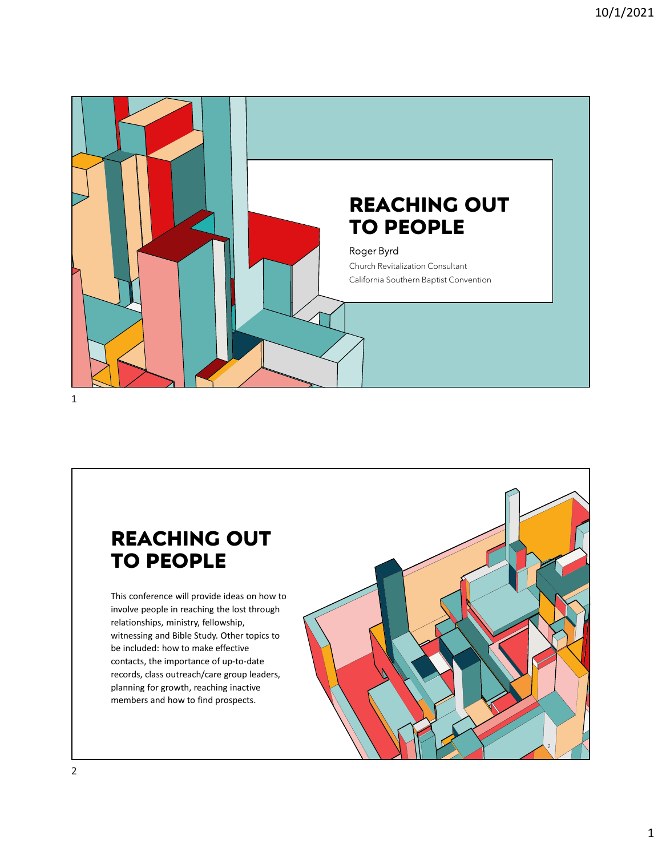



This conference will provide ideas on how to involve people in reaching the lost through relationships, ministry, fellowship, witnessing and Bible Study. Other topics to be included: how to make effective contacts, the importance of up-to-date records, class outreach/care group leaders, planning for growth, reaching inactive members and how to find prospects.

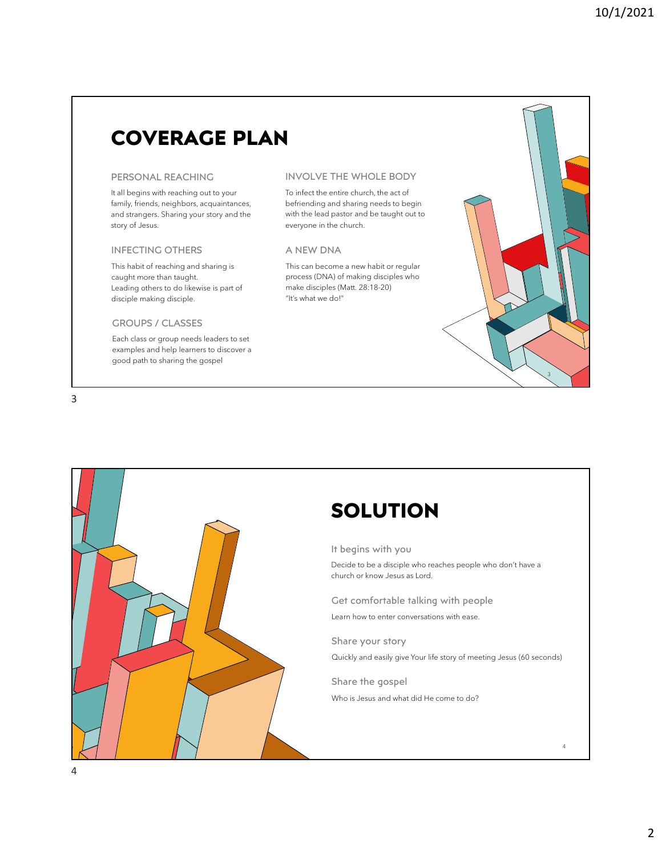# COVERAGE PLAN

It all begins with reaching out to your family, friends, neighbors, acquaintances, and strangers. Sharing your story and the story of Jesus.

## INFECTING OTHERS

This habit of reaching and sharing is caught more than taught. Leading others to do likewise is part of disciple making disciple.

# GROUPS / CLASSES

Each class or group needs leaders to set examples and help learners to discover a good path to sharing the gospel



### PERSONAL REACHING INVOLVE THE WHOLE BODY

To infect the entire church, the act of befriending and sharing needs to begin with the lead pastor and be taught out to everyone in the church.

## A NEW DNA

This can become a new habit or regular process (DNA) of making disciples who make disciples (Matt. 28:18-20) "It's what we do!"

# **SOLUTION**

It begins with you

Decide to be a disciple who reaches people who don't have a church or know Jesus as Lord.

Get comfortable talking with people Learn how to enter conversations with ease.

Share your story Quickly and easily give Your life story of meeting Jesus (60 seconds)

Share the gospel Who is Jesus and what did He come to do?

4

 $3 \sim$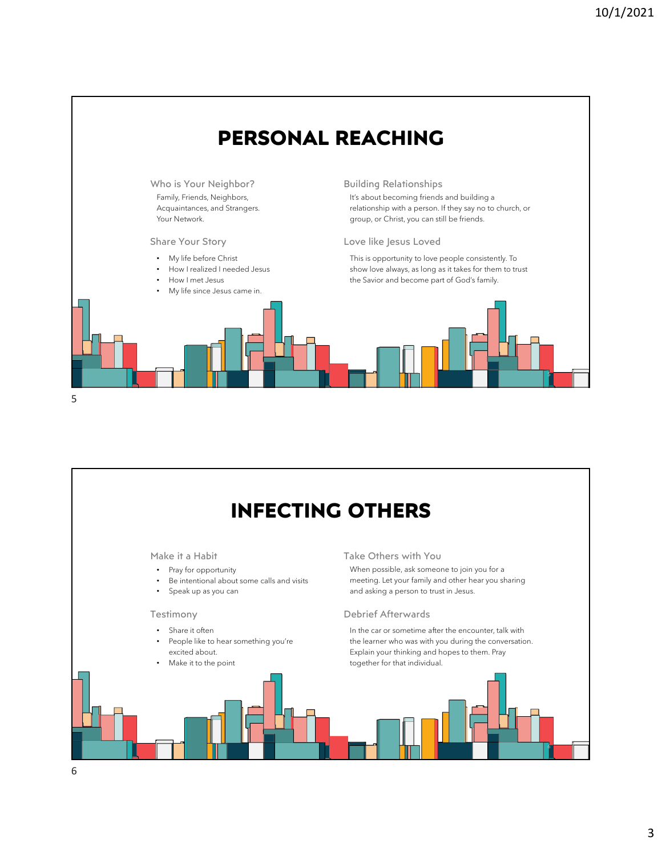

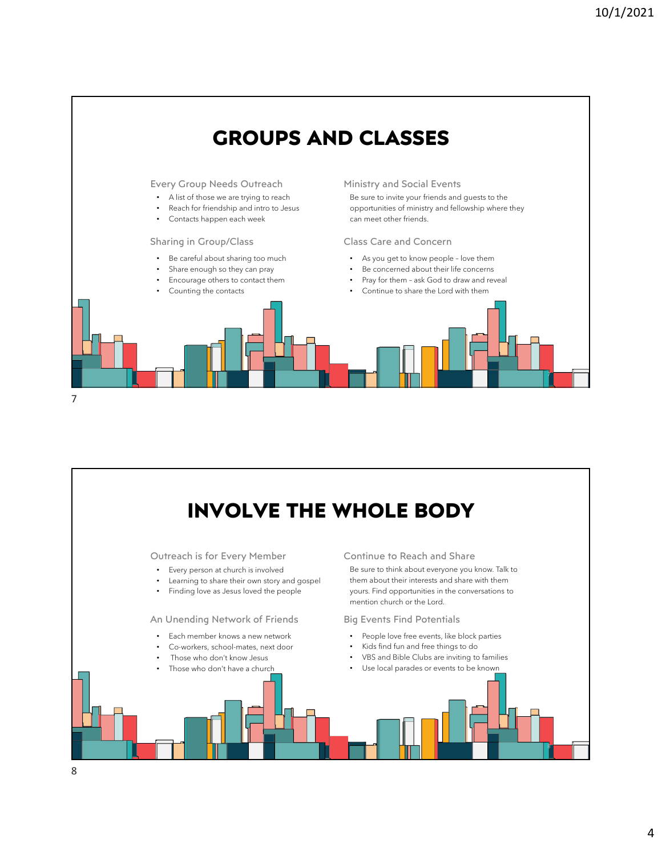

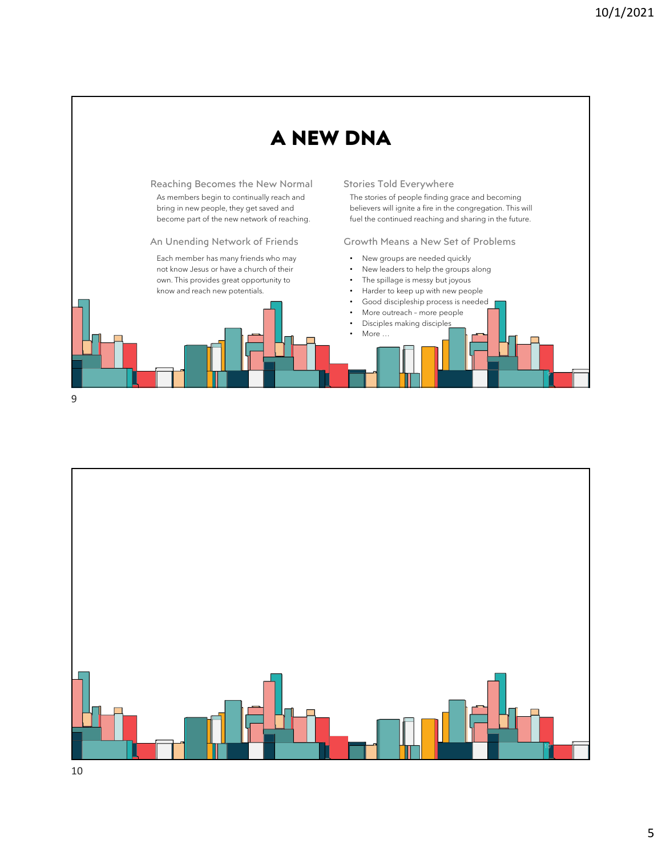



5